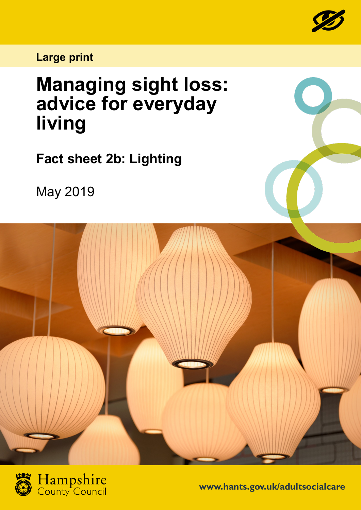

**Large print**

## **Managing sight loss: advice for everyday living**

**Fact sheet 2b: Lighting**

May 2019





**www.hants.gov.uk/adultsocialcare**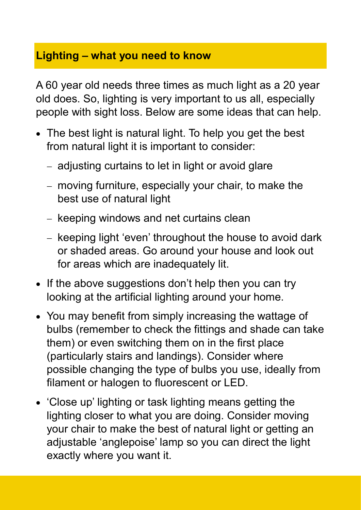## **Lighting – what you need to know**

A 60 year old needs three times as much light as a 20 year old does. So, lighting is very important to us all, especially people with sight loss. Below are some ideas that can help.

- The best light is natural light. To help you get the best from natural light it is important to consider:
	- − adjusting curtains to let in light or avoid glare
	- − moving furniture, especially your chair, to make the best use of natural light
	- − keeping windows and net curtains clean
	- − keeping light 'even' throughout the house to avoid dark or shaded areas. Go around your house and look out for areas which are inadequately lit.
- If the above suggestions don't help then you can try looking at the artificial lighting around your home.
- You may benefit from simply increasing the wattage of bulbs (remember to check the fittings and shade can take them) or even switching them on in the first place (particularly stairs and landings). Consider where possible changing the type of bulbs you use, ideally from filament or halogen to fluorescent or LED.
- 'Close up' lighting or task lighting means getting the lighting closer to what you are doing. Consider moving your chair to make the best of natural light or getting an adjustable 'anglepoise' lamp so you can direct the light exactly where you want it.